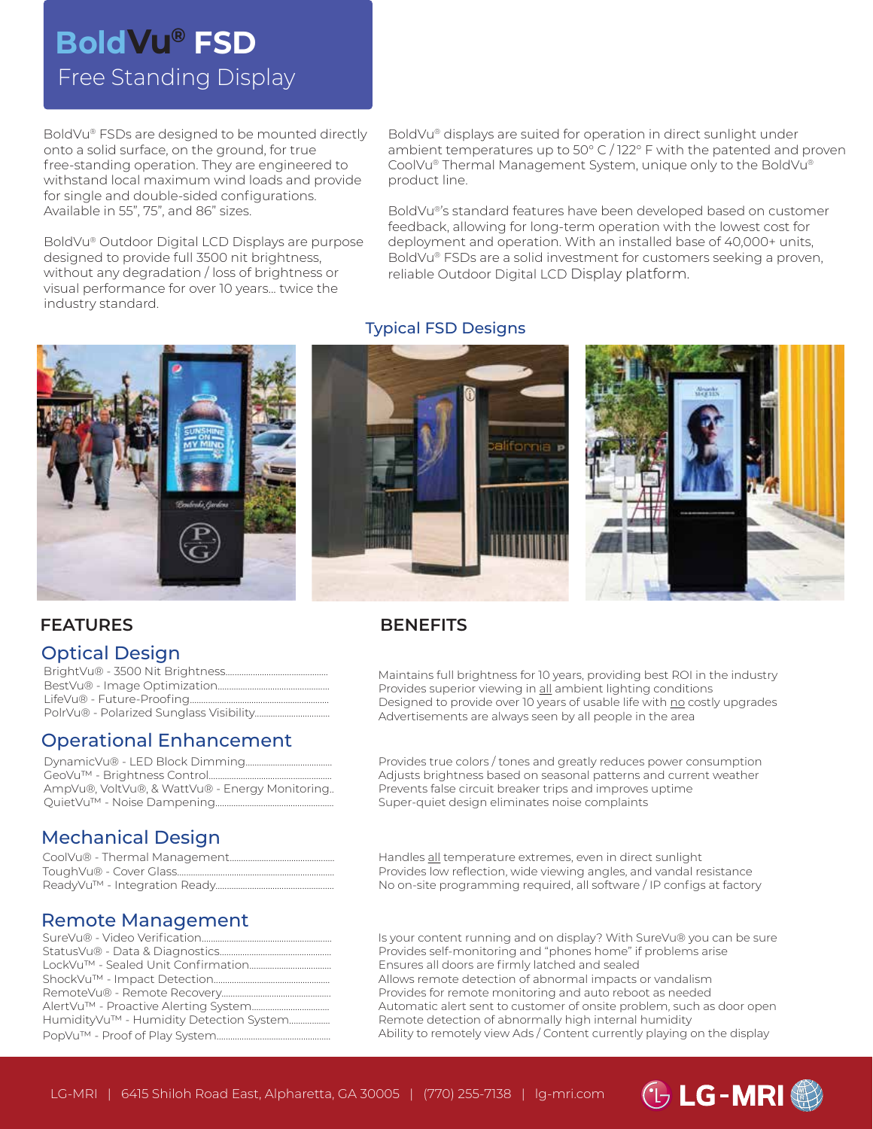# Free Standing Display **BoldVu® FSD**

BoldVu® FSDs are designed to be mounted directly onto a solid surface, on the ground, for true free-standing operation. They are engineered to withstand local maximum wind loads and provide for single and double-sided configurations. Available in 55", 75", and 86" sizes.

BoldVu® Outdoor Digital LCD Displays are purpose designed to provide full 3500 nit brightness, without any degradation / loss of brightness or visual performance for over 10 years... twice the industry standard.

BoldVu® displays are suited for operation in direct sunlight under ambient temperatures up to 50° C / 122° F with the patented and proven CoolVu® Thermal Management System, unique only to the BoldVu® product line.

BoldVu®'s standard features have been developed based on customer feedback, allowing for long-term operation with the lowest cost for deployment and operation. With an installed base of 40,000+ units, BoldVu® FSDs are a solid investment for customers seeking a proven, reliable Outdoor Digital LCD Display platform.



#### Typical FSD Designs



#### **FEATURES**

### Optical Design

# Operational Enhancement

| AmpVu®, VoltVu®, & WattVu® - Energy Monitoring |
|------------------------------------------------|
|                                                |

#### **BENEFITS**

Maintains full brightness for 10 years, providing best ROI in the industry Provides superior viewing in all ambient lighting conditions Designed to provide over 10 years of usable life with no costly upgrades Advertisements are always seen by all people in the area

Provides true colors / tones and greatly reduces power consumption Adjusts brightness based on seasonal patterns and current weather Prevents false circuit breaker trips and improves uptime Super-quiet design eliminates noise complaints

# Mechanical Design

### Remote Management

| HumidityVu™ - Humidity Detection System |
|-----------------------------------------|
|                                         |

Handles all temperature extremes, even in direct sunlight Provides low reflection, wide viewing angles, and vandal resistance No on-site programming required, all software / IP configs at factory

Is your content running and on display? With SureVu® you can be sure Provides self-monitoring and "phones home" if problems arise Ensures all doors are firmly latched and sealed Allows remote detection of abnormal impacts or vandalism Provides for remote monitoring and auto reboot as needed Automatic alert sent to customer of onsite problem, such as door open Remote detection of abnormally high internal humidity Ability to remotely view Ads / Content currently playing on the display

*① LG-MRI 卷*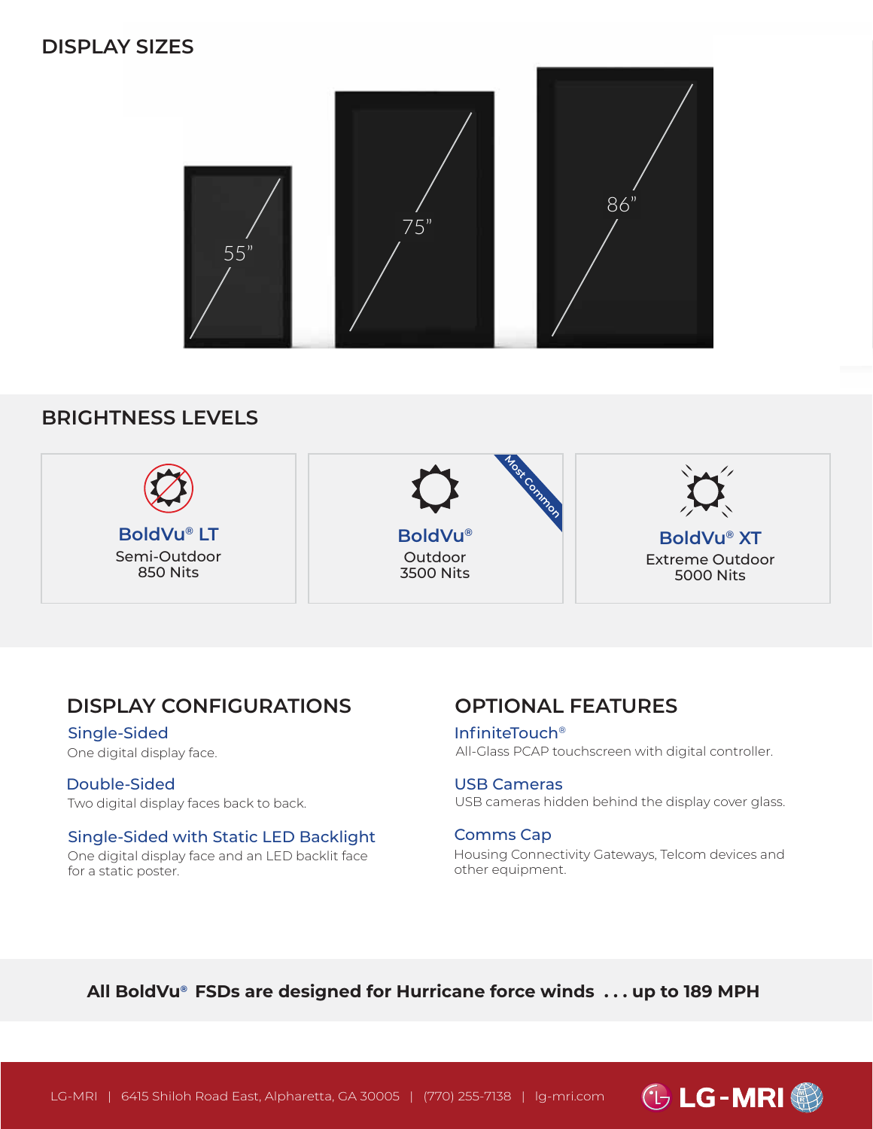# **DISPLAY SIZES**



# **BRIGHTNESS LEVELS**



# **DISPLAY CONFIGURATIONS**

Single-Sided One digital display face.

Double-Sided Two digital display faces back to back.

#### Single-Sided with Static LED Backlight One digital display face and an LED backlit face

for a static poster.

# **OPTIONAL FEATURES**

InfiniteTouch® All-Glass PCAP touchscreen with digital controller.

#### USB Cameras

USB cameras hidden behind the display cover glass.

#### Comms Cap

Housing Connectivity Gateways, Telcom devices and other equipment.

# **All BoldVu® FSDs are designed for Hurricane force winds . . . up to 189 MPH**

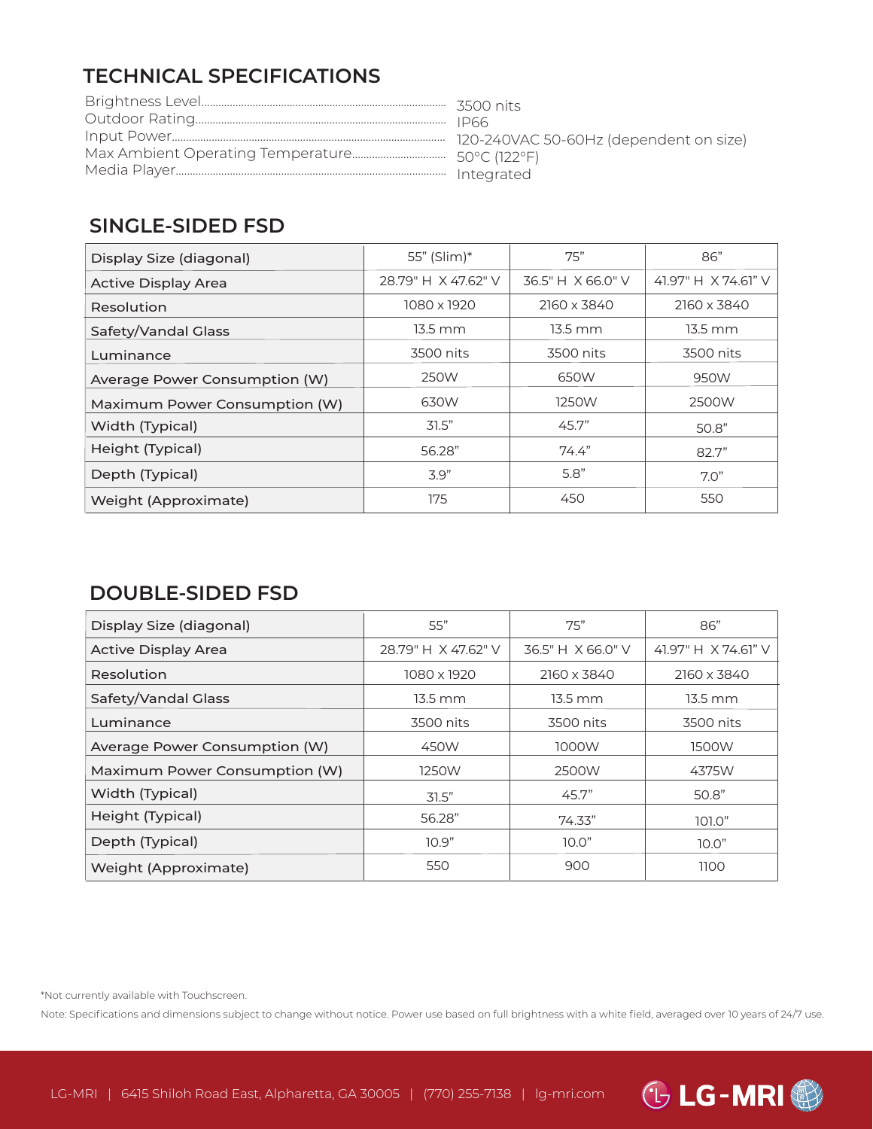# **TECHNICAL SPECIFICATIONS**

# **SINGLE-SIDED FSD**

| Display Size (diagonal)       | 55" (Slim)*         | 75"               | 86"                 |
|-------------------------------|---------------------|-------------------|---------------------|
| <b>Active Display Area</b>    | 28.79" H X 47.62" V | 36.5" H X 66.0" V | 41.97" H X 74.61" V |
| Resolution                    | 1080 x 1920         | 2160 x 3840       | 2160 x 3840         |
| Safety/Vandal Glass           | $13.5 \text{ mm}$   | $13.5 \text{ mm}$ | $13.5 \text{ mm}$   |
| Luminance                     | 3500 nits           | 3500 nits         | 3500 nits           |
| Average Power Consumption (W) | 250W                | 650W              | 950W                |
| Maximum Power Consumption (W) | 630W                | 1250W             | 2500W               |
| Width (Typical)               | 31.5"               | 45.7"             | 50.8"               |
| Height (Typical)              | 56.28"              | 74.4"             | 82.7"               |
| Depth (Typical)               | 3.9"                | 5.8"              | 7.0"                |
| Weight (Approximate)          | 175                 | 450               | 550                 |

# **DOUBLE-SIDED FSD**

| Display Size (diagonal)       | 55"                 | 75"               | 86"                 |
|-------------------------------|---------------------|-------------------|---------------------|
| <b>Active Display Area</b>    | 28.79" H X 47.62" V | 36.5" H X 66.0" V | 41.97" H X 74.61" V |
| Resolution                    | 1080 x 1920         | 2160 x 3840       | 2160 x 3840         |
| Safety/Vandal Glass           | $13.5 \text{ mm}$   | $13.5 \text{ mm}$ | $13.5 \text{ mm}$   |
| Luminance                     | 3500 nits           | 3500 nits         | 3500 nits           |
| Average Power Consumption (W) | 450W                | 1000W             | 1500W               |
| Maximum Power Consumption (W) | 1250W               | 2500W             | 4375W               |
| Width (Typical)               | 31.5"               | 45.7"             | 50.8"               |
| Height (Typical)              | 56.28"              | 74.33"            | 101.0"              |
| Depth (Typical)               | 10.9"               | 10.0"             | 10.0"               |
| Weight (Approximate)          | 550                 | 900               | 1100                |

\*Not currently available with Touchscreen.

Note: Specifications and dimensions subject to change without notice. Power use based on full brightness with a white field, averaged over 10 years of 24/7 use.

**GLG-MRI**